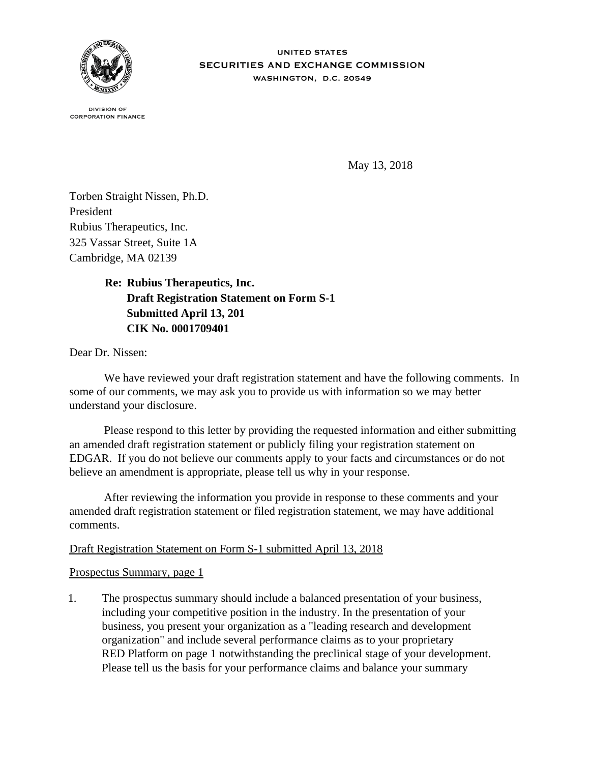

**IINITED STATES** SECURITIES AND EXCHANGE COMMISSION WASHINGTON, D.C. 20549

**DIVISION OF CORPORATION FINANCE** 

May 13, 2018

Torben Straight Nissen, Ph.D. President Rubius Therapeutics, Inc. 325 Vassar Street, Suite 1A Cambridge, MA 02139

# **Re: Rubius Therapeutics, Inc. Draft Registration Statement on Form S-1 Submitted April 13, 201 CIK No. 0001709401**

Dear Dr. Nissen:

We have reviewed your draft registration statement and have the following comments. In some of our comments, we may ask you to provide us with information so we may better understand your disclosure.

 Please respond to this letter by providing the requested information and either submitting an amended draft registration statement or publicly filing your registration statement on EDGAR. If you do not believe our comments apply to your facts and circumstances or do not believe an amendment is appropriate, please tell us why in your response.

 After reviewing the information you provide in response to these comments and your amended draft registration statement or filed registration statement, we may have additional comments.

## Draft Registration Statement on Form S-1 submitted April 13, 2018

Prospectus Summary, page 1

1. The prospectus summary should include a balanced presentation of your business, including your competitive position in the industry. In the presentation of your business, you present your organization as a "leading research and development organization" and include several performance claims as to your proprietary RED Platform on page 1 notwithstanding the preclinical stage of your development. Please tell us the basis for your performance claims and balance your summary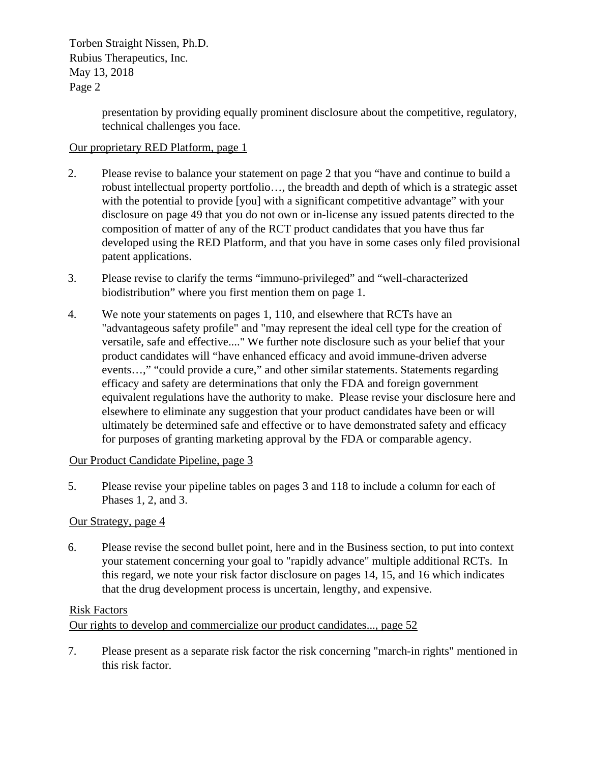Rubius Therapeutics, Inc. May 13, 2018 Page 2 Torben Straight Nissen, Ph.D.

> presentation by providing equally prominent disclosure about the competitive, regulatory, technical challenges you face.

## Our proprietary RED Platform, page 1

- 2. Please revise to balance your statement on page 2 that you "have and continue to build a robust intellectual property portfolio…, the breadth and depth of which is a strategic asset with the potential to provide [you] with a significant competitive advantage" with your disclosure on page 49 that you do not own or in-license any issued patents directed to the composition of matter of any of the RCT product candidates that you have thus far developed using the RED Platform, and that you have in some cases only filed provisional patent applications.
- 3. Please revise to clarify the terms "immuno-privileged" and "well-characterized biodistribution" where you first mention them on page 1.
- 4. We note your statements on pages 1, 110, and elsewhere that RCTs have an "advantageous safety profile" and "may represent the ideal cell type for the creation of versatile, safe and effective...." We further note disclosure such as your belief that your product candidates will "have enhanced efficacy and avoid immune-driven adverse events…," "could provide a cure," and other similar statements. Statements regarding efficacy and safety are determinations that only the FDA and foreign government equivalent regulations have the authority to make. Please revise your disclosure here and elsewhere to eliminate any suggestion that your product candidates have been or will ultimately be determined safe and effective or to have demonstrated safety and efficacy for purposes of granting marketing approval by the FDA or comparable agency.

## Our Product Candidate Pipeline, page 3

5. Please revise your pipeline tables on pages 3 and 118 to include a column for each of Phases 1, 2, and 3.

## Our Strategy, page 4

6. Please revise the second bullet point, here and in the Business section, to put into context your statement concerning your goal to "rapidly advance" multiple additional RCTs. In this regard, we note your risk factor disclosure on pages 14, 15, and 16 which indicates that the drug development process is uncertain, lengthy, and expensive.

#### **Risk Factors**

## Our rights to develop and commercialize our product candidates..., page 52

7. Please present as a separate risk factor the risk concerning "march-in rights" mentioned in this risk factor.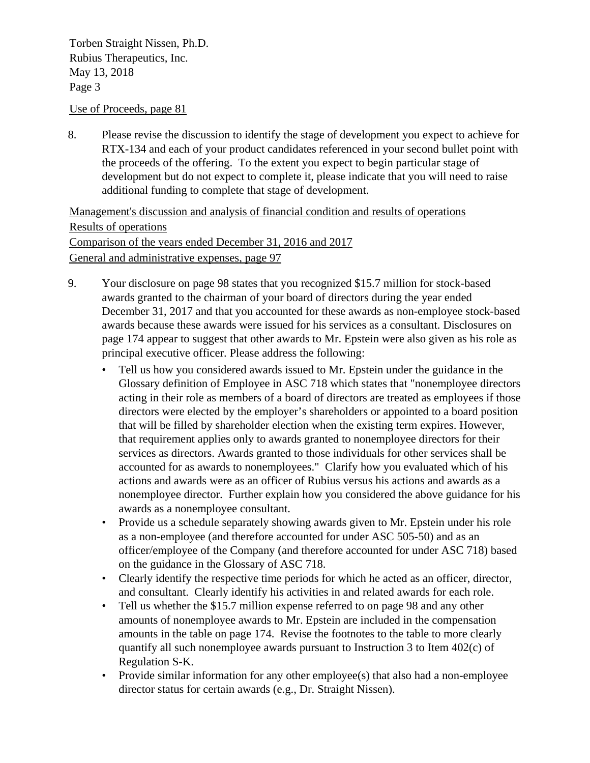Rubius Therapeutics, Inc. May 13, 2018 Page 3 Torben Straight Nissen, Ph.D.

### Use of Proceeds, page 81

8. Please revise the discussion to identify the stage of development you expect to achieve for RTX-134 and each of your product candidates referenced in your second bullet point with the proceeds of the offering. To the extent you expect to begin particular stage of development but do not expect to complete it, please indicate that you will need to raise additional funding to complete that stage of development.

Management's discussion and analysis of financial condition and results of operations Results of operations Comparison of the years ended December 31, 2016 and 2017 General and administrative expenses, page 97

- 9. Your disclosure on page 98 states that you recognized \$15.7 million for stock-based awards granted to the chairman of your board of directors during the year ended December 31, 2017 and that you accounted for these awards as non-employee stock-based awards because these awards were issued for his services as a consultant. Disclosures on page 174 appear to suggest that other awards to Mr. Epstein were also given as his role as principal executive officer. Please address the following:
	- Tell us how you considered awards issued to Mr. Epstein under the guidance in the Glossary definition of Employee in ASC 718 which states that "nonemployee directors acting in their role as members of a board of directors are treated as employees if those directors were elected by the employer's shareholders or appointed to a board position that will be filled by shareholder election when the existing term expires. However, that requirement applies only to awards granted to nonemployee directors for their services as directors. Awards granted to those individuals for other services shall be accounted for as awards to nonemployees." Clarify how you evaluated which of his actions and awards were as an officer of Rubius versus his actions and awards as a nonemployee director. Further explain how you considered the above guidance for his awards as a nonemployee consultant.
	- Provide us a schedule separately showing awards given to Mr. Epstein under his role as a non-employee (and therefore accounted for under ASC 505-50) and as an officer/employee of the Company (and therefore accounted for under ASC 718) based on the guidance in the Glossary of ASC 718.
	- Clearly identify the respective time periods for which he acted as an officer, director, and consultant. Clearly identify his activities in and related awards for each role.
	- Tell us whether the \$15.7 million expense referred to on page 98 and any other amounts of nonemployee awards to Mr. Epstein are included in the compensation amounts in the table on page 174. Revise the footnotes to the table to more clearly quantify all such nonemployee awards pursuant to Instruction 3 to Item 402(c) of Regulation S-K.
	- Provide similar information for any other employee (s) that also had a non-employee director status for certain awards (e.g., Dr. Straight Nissen).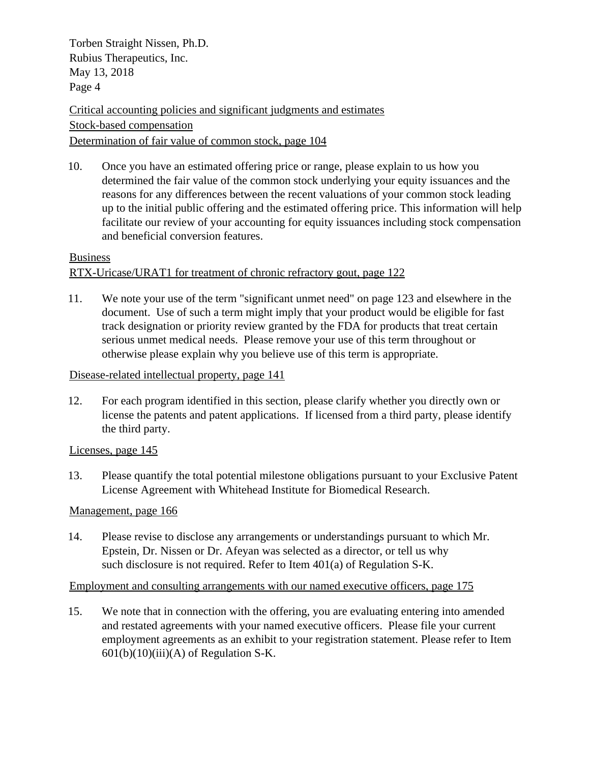Rubius Therapeutics, Inc. May 13, 2018 Page 4 Torben Straight Nissen, Ph.D.

Critical accounting policies and significant judgments and estimates Stock-based compensation Determination of fair value of common stock, page 104

10. Once you have an estimated offering price or range, please explain to us how you determined the fair value of the common stock underlying your equity issuances and the reasons for any differences between the recent valuations of your common stock leading up to the initial public offering and the estimated offering price. This information will help facilitate our review of your accounting for equity issuances including stock compensation and beneficial conversion features.

## Business RTX-Uricase/URAT1 for treatment of chronic refractory gout, page 122

11. We note your use of the term "significant unmet need" on page 123 and elsewhere in the document. Use of such a term might imply that your product would be eligible for fast track designation or priority review granted by the FDA for products that treat certain serious unmet medical needs. Please remove your use of this term throughout or otherwise please explain why you believe use of this term is appropriate.

## Disease-related intellectual property, page 141

12. For each program identified in this section, please clarify whether you directly own or license the patents and patent applications. If licensed from a third party, please identify the third party.

Licenses, page 145

13. Please quantify the total potential milestone obligations pursuant to your Exclusive Patent License Agreement with Whitehead Institute for Biomedical Research.

Management, page 166

14. Please revise to disclose any arrangements or understandings pursuant to which Mr. Epstein, Dr. Nissen or Dr. Afeyan was selected as a director, or tell us why such disclosure is not required. Refer to Item 401(a) of Regulation S-K.

# Employment and consulting arrangements with our named executive officers, page 175

15. We note that in connection with the offering, you are evaluating entering into amended and restated agreements with your named executive officers. Please file your current employment agreements as an exhibit to your registration statement. Please refer to Item  $601(b)(10)(iii)(A)$  of Regulation S-K.